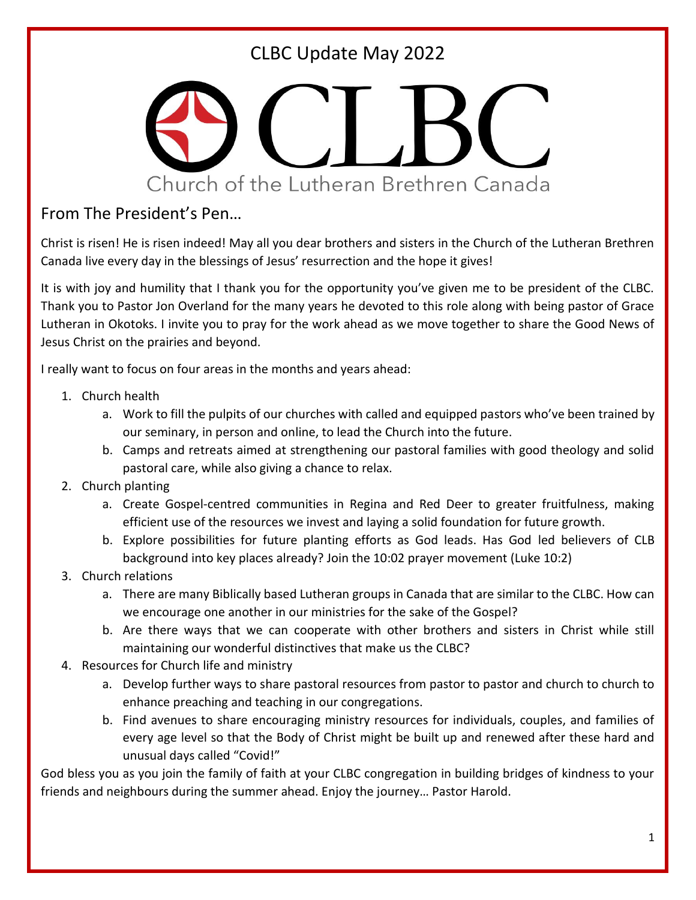

#### From The President's Pen…

Christ is risen! He is risen indeed! May all you dear brothers and sisters in the Church of the Lutheran Brethren Canada live every day in the blessings of Jesus' resurrection and the hope it gives!

It is with joy and humility that I thank you for the opportunity you've given me to be president of the CLBC. Thank you to Pastor Jon Overland for the many years he devoted to this role along with being pastor of Grace Lutheran in Okotoks. I invite you to pray for the work ahead as we move together to share the Good News of Jesus Christ on the prairies and beyond.

I really want to focus on four areas in the months and years ahead:

- 1. Church health
	- a. Work to fill the pulpits of our churches with called and equipped pastors who've been trained by our seminary, in person and online, to lead the Church into the future.
	- b. Camps and retreats aimed at strengthening our pastoral families with good theology and solid pastoral care, while also giving a chance to relax.
- 2. Church planting
	- a. Create Gospel-centred communities in Regina and Red Deer to greater fruitfulness, making efficient use of the resources we invest and laying a solid foundation for future growth.
	- b. Explore possibilities for future planting efforts as God leads. Has God led believers of CLB background into key places already? Join the 10:02 prayer movement (Luke 10:2)
- 3. Church relations
	- a. There are many Biblically based Lutheran groups in Canada that are similar to the CLBC. How can we encourage one another in our ministries for the sake of the Gospel?
	- b. Are there ways that we can cooperate with other brothers and sisters in Christ while still maintaining our wonderful distinctives that make us the CLBC?
- 4. Resources for Church life and ministry
	- a. Develop further ways to share pastoral resources from pastor to pastor and church to church to enhance preaching and teaching in our congregations.
	- b. Find avenues to share encouraging ministry resources for individuals, couples, and families of every age level so that the Body of Christ might be built up and renewed after these hard and unusual days called "Covid!"

God bless you as you join the family of faith at your CLBC congregation in building bridges of kindness to your friends and neighbours during the summer ahead. Enjoy the journey… Pastor Harold.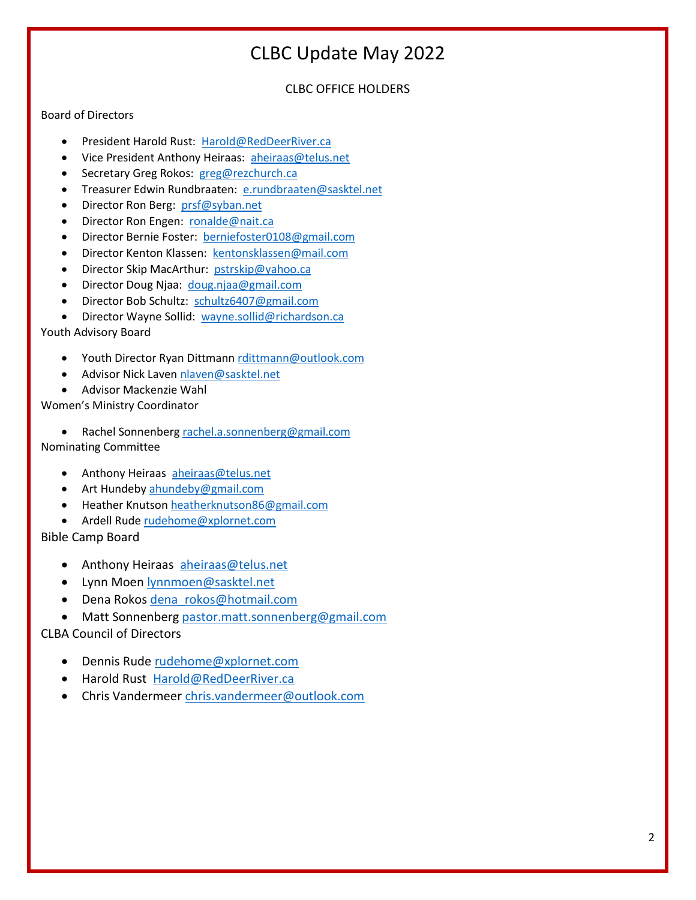#### CLBC OFFICE HOLDERS

#### Board of Directors

- President Harold Rust: [Harold@RedDeerRiver.ca](mailto:Harold@RedDeerRiver.ca)
- Vice President Anthony Heiraas: [aheiraas@telus.net](mailto:aheiraas@telus.net)
- Secretary Greg Rokos: [greg@rezchurch.ca](mailto:greg@rezchurch.ca)
- Treasurer Edwin Rundbraaten: [e.rundbraaten@sasktel.net](mailto:e.rundbraaten@sasktel.net)
- Director Ron Berg: [prsf@syban.net](mailto:prsf@syban.net)
- Director Ron Engen: [ronalde@nait.ca](mailto:ronalde@nait.ca)
- Director Bernie Foster: [berniefoster0108@gmail.com](mailto:berniefoster0108@gmail.com)
- Director Kenton Klassen: [kentonsklassen@mail.com](mailto:kentonsklassen@mail.com)
- Director Skip MacArthur: [pstrskip@yahoo.ca](mailto:pstrskip@yahoo.ca)
- Director Doug Njaa: [doug.njaa@gmail.com](mailto:doug.njaa@gmail.com)
- Director Bob Schultz: [schultz6407@gmail.com](mailto:schultz6407@gmail.com)
- Director Wayne Sollid: [wayne.sollid@richardson.ca](mailto:wayne.sollid@richardson.ca)

Youth Advisory Board

- Youth Director Ryan Dittmann [rdittmann@outlook.com](mailto:rdittmann@outlook.com)
- Advisor Nick Lave[n nlaven@sasktel.net](mailto:nlaven@sasktel.net)

• Advisor Mackenzie Wahl

Women's Ministry Coordinator

• Rachel Sonnenber[g rachel.a.sonnenberg@gmail.com](mailto:rachel.a.sonnenberg@gmail.com) Nominating Committee

- Anthony Heiraas [aheiraas@telus.net](mailto:aheiraas@telus.net)
- Art Hundeby [ahundeby@gmail.com](mailto:ahundeby@gmail.com)
- Heather Knutson [heatherknutson86@gmail.com](mailto:heatherknutson86@gmail.com)
- Ardell Rud[e rudehome@xplornet.com](mailto:rudehome@xplornet.com)

Bible Camp Board

- Anthony Heiraas [aheiraas@telus.net](mailto:aheiraas@telus.net)
- Lynn Moen [lynnmoen@sasktel.net](mailto:lynnmoen@sasktel.net)
- · Dena Rokos [dena\\_rokos@hotmail.com](mailto:dena_rokos@hotmail.com)
- Matt Sonnenberg [pastor.matt.sonnenberg@gmail.com](mailto:pastor.matt.sonnenberg@gmail.com)

CLBA Council of Directors

- Dennis Rude [rudehome@xplornet.com](mailto:rudehome@xplornet.com)
- Harold Rust [Harold@RedDeerRiver.ca](mailto:Harold@RedDeerRiver.ca)
- Chris Vandermeer [chris.vandermeer@outlook.com](mailto:chris.vandermeer@outlook.com)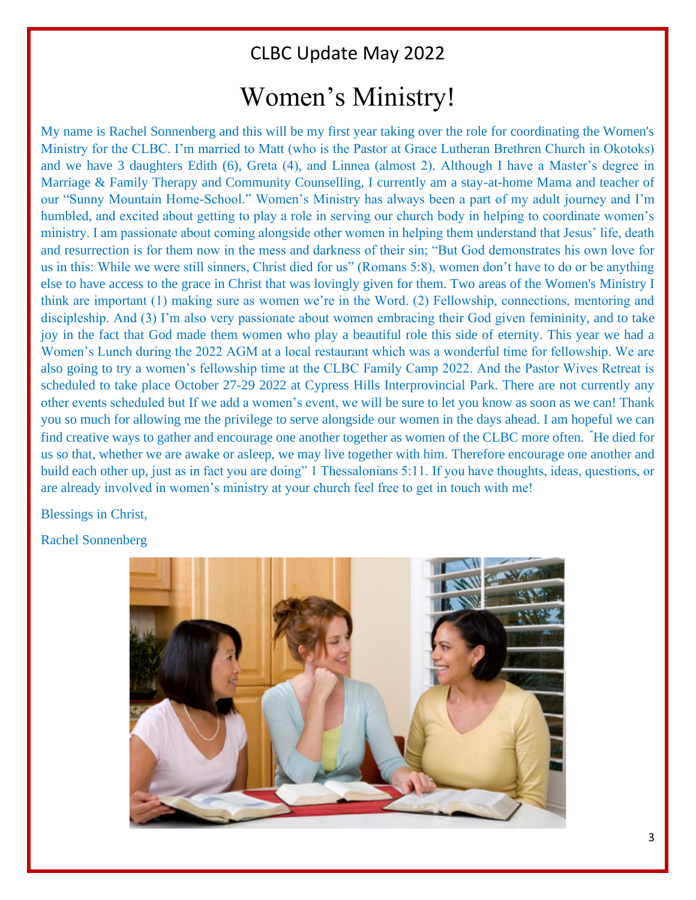## Women's Ministry!

My name is Rachel Sonnenberg and this will be my first year taking over the role for coordinating the Women's Ministry for the CLBC. I'm married to Matt (who is the Pastor at Grace Lutheran Brethren Church in Okotoks) and we have 3 daughters Edith (6), Greta (4), and Linnea (almost 2). Although I have a Master's degree in Marriage & Family Therapy and Community Counselling, I currently am a stay-at-home Mama and teacher of our "Sunny Mountain Home-School." Women's Ministry has always been a part of my adult journey and I'm humbled, and excited about getting to play a role in serving our church body in helping to coordinate women's ministry. I am passionate about coming alongside other women in helping them understand that Jesus' life, death and resurrection is for them now in the mess and darkness of their sin; "But God demonstrates his own love for us in this: While we were still sinners, Christ died for us" (Romans 5:8), women don't have to do or be anything else to have access to the grace in Christ that was lovingly given for them. Two areas of the Women's Ministry I think are important (1) making sure as women we're in the Word. (2) Fellowship, connections, mentoring and discipleship. And (3) I'm also very passionate about women embracing their God given femininity, and to take joy in the fact that God made them women who play a beautiful role this side of eternity. This year we had a Women's Lunch during the 2022 AGM at a local restaurant which was a wonderful time for fellowship. We are also going to try a women's fellowship time at the CLBC Family Camp 2022. And the Pastor Wives Retreat is scheduled to take place October 27-29 2022 at Cypress Hills Interprovincial Park. There are not currently any other events scheduled but If we add a women's event, we will be sure to let you know as soon as we can! Thank you so much for allowing me the privilege to serve alongside our women in the days ahead. I am hopeful we can find creative ways to gather and encourage one another together as women of the CLBC more often. **"**He died for us so that, whether we are awake or asleep, we may live together with him. Therefore encourage one another and build each other up, just as in fact you are doing" 1 Thessalonians 5:11. If you have thoughts, ideas, questions, or are already involved in women's ministry at your church feel free to get in touch with me!

Blessings in Christ,

Rachel Sonnenberg

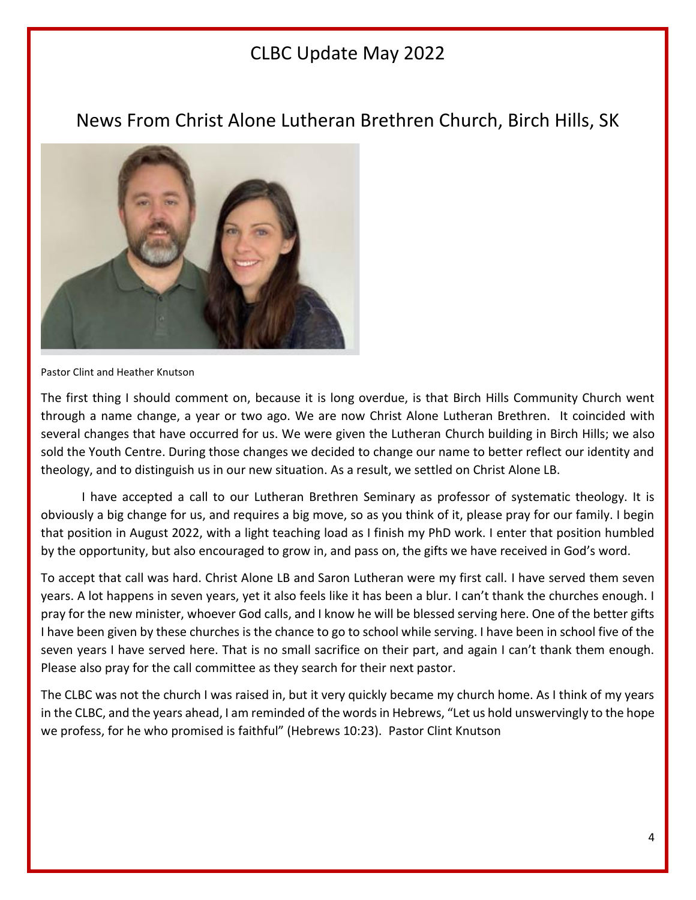### News From Christ Alone Lutheran Brethren Church, Birch Hills, SK



Pastor Clint and Heather Knutson

The first thing I should comment on, because it is long overdue, is that Birch Hills Community Church went through a name change, a year or two ago. We are now Christ Alone Lutheran Brethren. It coincided with several changes that have occurred for us. We were given the Lutheran Church building in Birch Hills; we also sold the Youth Centre. During those changes we decided to change our name to better reflect our identity and theology, and to distinguish us in our new situation. As a result, we settled on Christ Alone LB.

I have accepted a call to our Lutheran Brethren Seminary as professor of systematic theology. It is obviously a big change for us, and requires a big move, so as you think of it, please pray for our family. I begin that position in August 2022, with a light teaching load as I finish my PhD work. I enter that position humbled by the opportunity, but also encouraged to grow in, and pass on, the gifts we have received in God's word.

To accept that call was hard. Christ Alone LB and Saron Lutheran were my first call. I have served them seven years. A lot happens in seven years, yet it also feels like it has been a blur. I can't thank the churches enough. I pray for the new minister, whoever God calls, and I know he will be blessed serving here. One of the better gifts I have been given by these churches is the chance to go to school while serving. I have been in school five of the seven years I have served here. That is no small sacrifice on their part, and again I can't thank them enough. Please also pray for the call committee as they search for their next pastor.

The CLBC was not the church I was raised in, but it very quickly became my church home. As I think of my years in the CLBC, and the years ahead, I am reminded of the words in Hebrews, "Let us hold unswervingly to the hope we profess, for he who promised is faithful" (Hebrews 10:23). Pastor Clint Knutson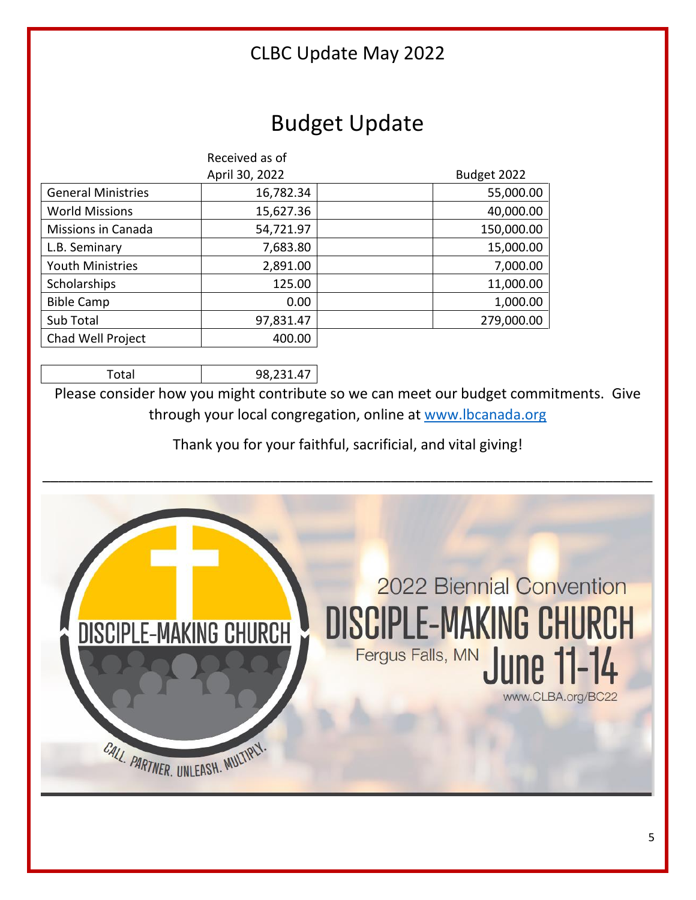## Budget Update

|                           | Received as of |             |
|---------------------------|----------------|-------------|
|                           | April 30, 2022 | Budget 2022 |
| <b>General Ministries</b> | 16,782.34      | 55,000.00   |
| <b>World Missions</b>     | 15,627.36      | 40,000.00   |
| Missions in Canada        | 54,721.97      | 150,000.00  |
| L.B. Seminary             | 7,683.80       | 15,000.00   |
| <b>Youth Ministries</b>   | 2,891.00       | 7,000.00    |
| Scholarships              | 125.00         | 11,000.00   |
| <b>Bible Camp</b>         | 0.00           | 1,000.00    |
| Sub Total                 | 97,831.47      | 279,000.00  |
| Chad Well Project         | 400.00         |             |

Total 98,231.47

Please consider how you might contribute so we can meet our budget commitments. Give through your local congregation, online at [www.lbcanada.org](http://www.lbcanada.org/)

Thank you for your faithful, sacrificial, and vital giving!

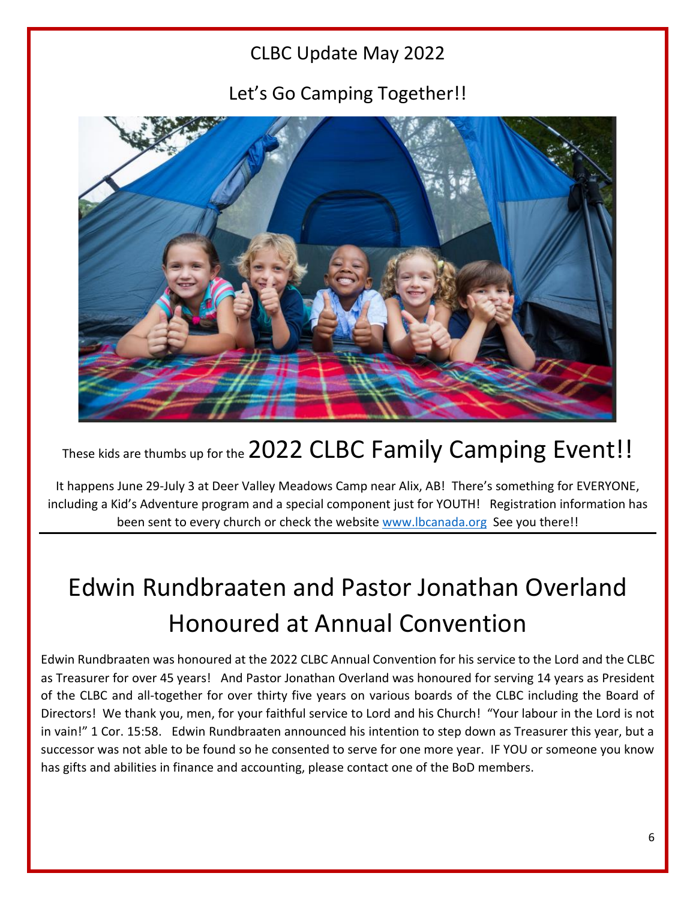Let's Go Camping Together!!



## These kids are thumbs up for the 2022 CLBC Family Camping Event!!

It happens June 29-July 3 at Deer Valley Meadows Camp near Alix, AB! There's something for EVERYONE, including a Kid's Adventure program and a special component just for YOUTH! Registration information has been sent to every church or check the website [www.lbcanada.org](http://www.lbcanada.org/) See you there!!

# Edwin Rundbraaten and Pastor Jonathan Overland Honoured at Annual Convention

Edwin Rundbraaten was honoured at the 2022 CLBC Annual Convention for his service to the Lord and the CLBC as Treasurer for over 45 years! And Pastor Jonathan Overland was honoured for serving 14 years as President of the CLBC and all-together for over thirty five years on various boards of the CLBC including the Board of Directors! We thank you, men, for your faithful service to Lord and his Church! "Your labour in the Lord is not in vain!" 1 Cor. 15:58. Edwin Rundbraaten announced his intention to step down as Treasurer this year, but a successor was not able to be found so he consented to serve for one more year. IF YOU or someone you know has gifts and abilities in finance and accounting, please contact one of the BoD members.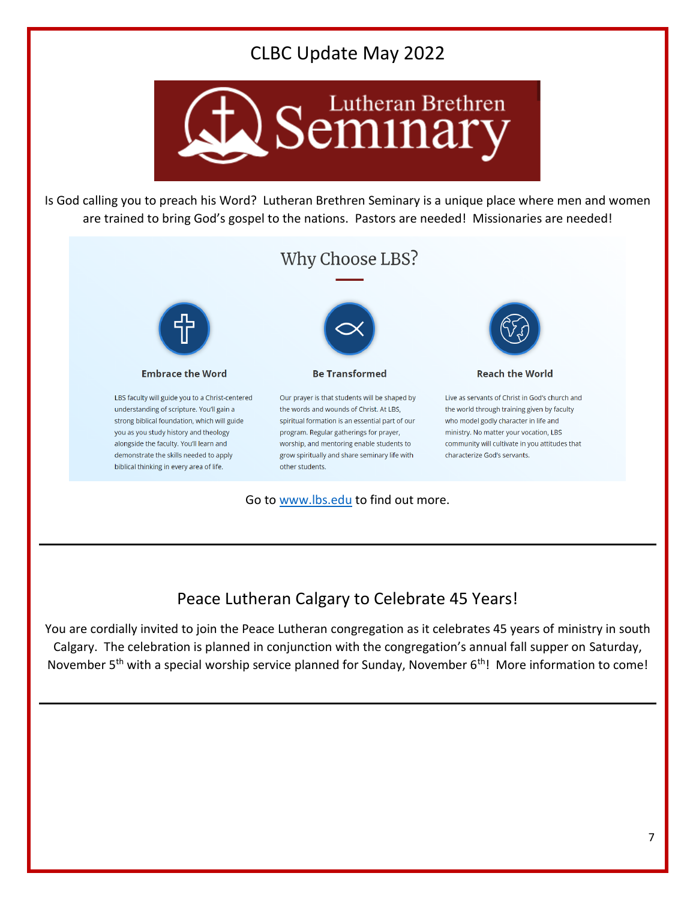

Is God calling you to preach his Word? Lutheran Brethren Seminary is a unique place where men and women are trained to bring God's gospel to the nations. Pastors are needed! Missionaries are needed!



### Peace Lutheran Calgary to Celebrate 45 Years!

You are cordially invited to join the Peace Lutheran congregation as it celebrates 45 years of ministry in south Calgary. The celebration is planned in conjunction with the congregation's annual fall supper on Saturday, November 5<sup>th</sup> with a special worship service planned for Sunday, November 6<sup>th</sup>! More information to come!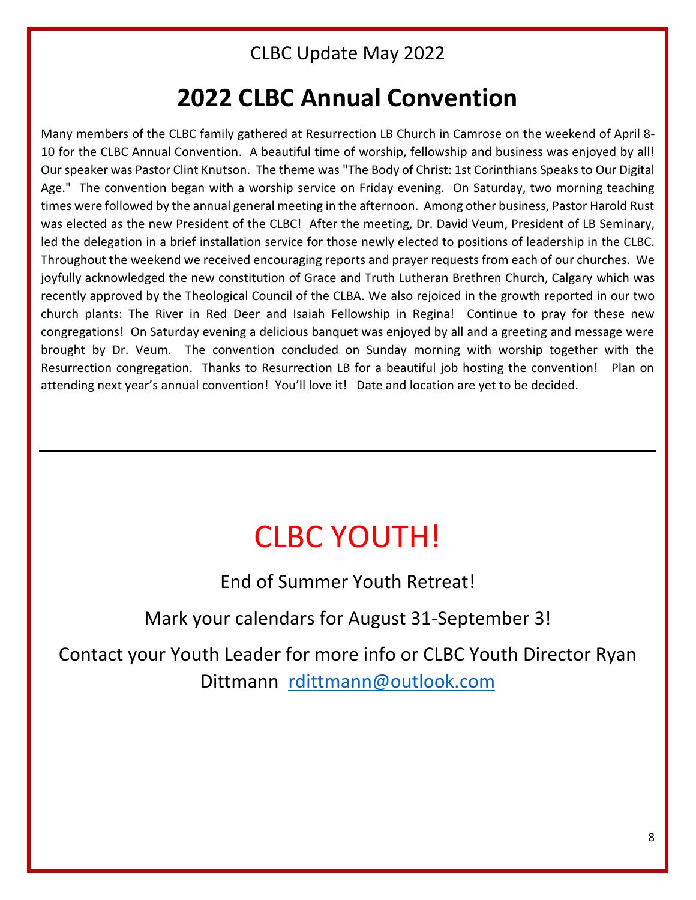## **2022 CLBC Annual Convention**

Many members of the CLBC family gathered at Resurrection LB Church in Camrose on the weekend of April 8- 10 for the CLBC Annual Convention. A beautiful time of worship, fellowship and business was enjoyed by all! Our speaker was Pastor Clint Knutson. The theme was "The Body of Christ: 1st Corinthians Speaks to Our Digital Age." The convention began with a worship service on Friday evening. On Saturday, two morning teaching times were followed by the annual general meeting in the afternoon. Among other business, Pastor Harold Rust was elected as the new President of the CLBC! After the meeting, Dr. David Veum, President of LB Seminary, led the delegation in a brief installation service for those newly elected to positions of leadership in the CLBC. Throughout the weekend we received encouraging reports and prayer requests from each of our churches. We joyfully acknowledged the new constitution of Grace and Truth Lutheran Brethren Church, Calgary which was recently approved by the Theological Council of the CLBA. We also rejoiced in the growth reported in our two church plants: The River in Red Deer and Isaiah Fellowship in Regina! Continue to pray for these new congregations! On Saturday evening a delicious banquet was enjoyed by all and a greeting and message were brought by Dr. Veum. The convention concluded on Sunday morning with worship together with the Resurrection congregation. Thanks to Resurrection LB for a beautiful job hosting the convention! Plan on attending next year's annual convention! You'll love it! Date and location are yet to be decided.

# CLBC YOUTH!

End of Summer Youth Retreat!

Mark your calendars for August 31-September 3!

Contact your Youth Leader for more info or CLBC Youth Director Ryan Dittmann [rdittmann@outlook.com](mailto:rdittmann@outlook.com)